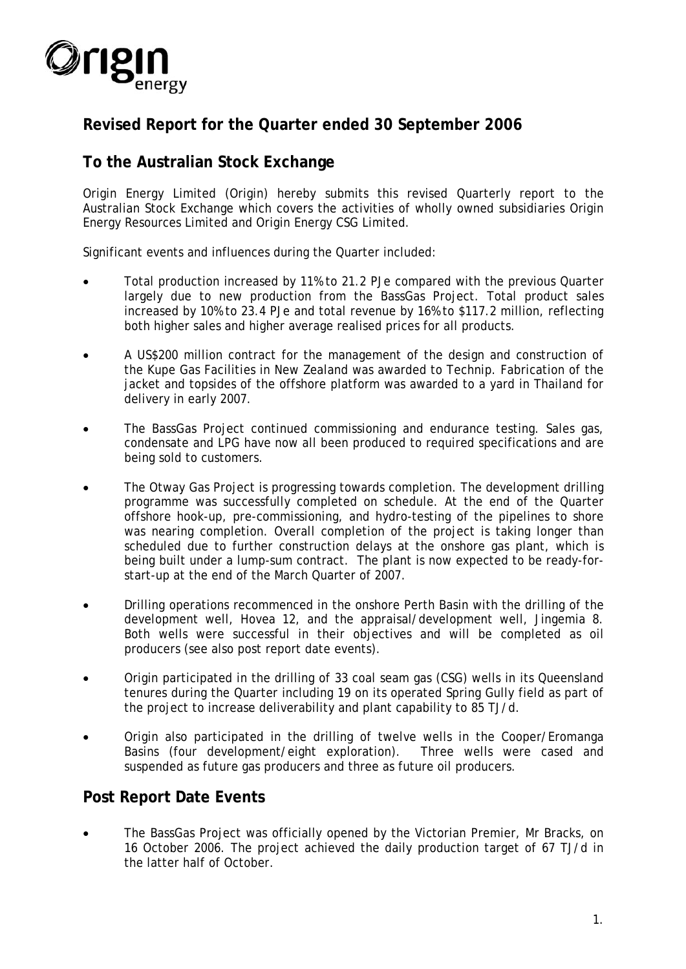

# **Revised Report for the Quarter ended 30 September 2006**

# **To the Australian Stock Exchange**

Origin Energy Limited (Origin) hereby submits this revised Quarterly report to the Australian Stock Exchange which covers the activities of wholly owned subsidiaries Origin Energy Resources Limited and Origin Energy CSG Limited.

Significant events and influences during the Quarter included:

- Total production increased by 11% to 21.2 PJe compared with the previous Quarter largely due to new production from the BassGas Project. Total product sales increased by 10% to 23.4 PJe and total revenue by 16% to \$117.2 million, reflecting both higher sales and higher average realised prices for all products.
- A US\$200 million contract for the management of the design and construction of the Kupe Gas Facilities in New Zealand was awarded to Technip. Fabrication of the jacket and topsides of the offshore platform was awarded to a yard in Thailand for delivery in early 2007.
- The BassGas Project continued commissioning and endurance testing. Sales gas, condensate and LPG have now all been produced to required specifications and are being sold to customers.
- The Otway Gas Project is progressing towards completion. The development drilling programme was successfully completed on schedule. At the end of the Quarter offshore hook-up, pre-commissioning, and hydro-testing of the pipelines to shore was nearing completion. Overall completion of the project is taking longer than scheduled due to further construction delays at the onshore gas plant, which is being built under a lump-sum contract. The plant is now expected to be ready-forstart-up at the end of the March Quarter of 2007.
- Drilling operations recommenced in the onshore Perth Basin with the drilling of the development well, Hovea 12, and the appraisal/development well, Jingemia 8. Both wells were successful in their objectives and will be completed as oil producers (see also post report date events).
- Origin participated in the drilling of 33 coal seam gas (CSG) wells in its Queensland tenures during the Quarter including 19 on its operated Spring Gully field as part of the project to increase deliverability and plant capability to 85 TJ/d.
- Origin also participated in the drilling of twelve wells in the Cooper/Eromanga Basins (four development/eight exploration). Three wells were cased and suspended as future gas producers and three as future oil producers.

# **Post Report Date Events**

• The BassGas Project was officially opened by the Victorian Premier, Mr Bracks, on 16 October 2006. The project achieved the daily production target of 67 TJ/d in the latter half of October.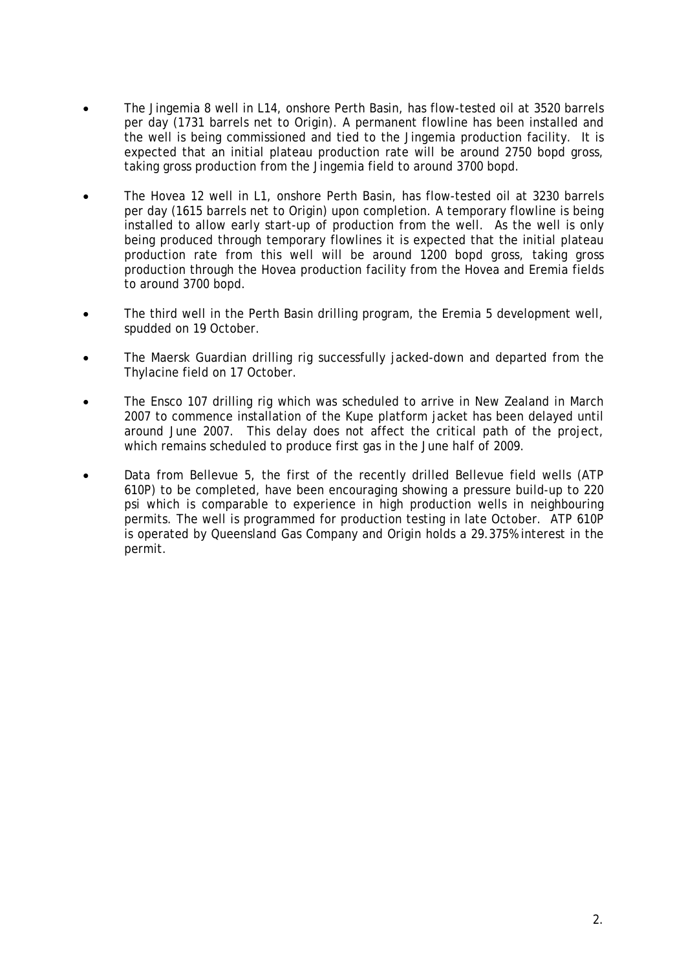- The Jingemia 8 well in L14, onshore Perth Basin, has flow-tested oil at 3520 barrels per day (1731 barrels net to Origin). A permanent flowline has been installed and the well is being commissioned and tied to the Jingemia production facility. It is expected that an initial plateau production rate will be around 2750 bopd gross, taking gross production from the Jingemia field to around 3700 bopd.
- The Hovea 12 well in L1, onshore Perth Basin, has flow-tested oil at 3230 barrels per day (1615 barrels net to Origin) upon completion. A temporary flowline is being installed to allow early start-up of production from the well. As the well is only being produced through temporary flowlines it is expected that the initial plateau production rate from this well will be around 1200 bopd gross, taking gross production through the Hovea production facility from the Hovea and Eremia fields to around 3700 bopd.
- The third well in the Perth Basin drilling program, the Eremia 5 development well, spudded on 19 October.
- The Maersk Guardian drilling rig successfully jacked-down and departed from the Thylacine field on 17 October.
- The Ensco 107 drilling rig which was scheduled to arrive in New Zealand in March 2007 to commence installation of the Kupe platform jacket has been delayed until around June 2007. This delay does not affect the critical path of the project, which remains scheduled to produce first gas in the June half of 2009.
- Data from Bellevue 5, the first of the recently drilled Bellevue field wells (ATP 610P) to be completed, have been encouraging showing a pressure build-up to 220 psi which is comparable to experience in high production wells in neighbouring permits. The well is programmed for production testing in late October. ATP 610P is operated by Queensland Gas Company and Origin holds a 29.375% interest in the permit.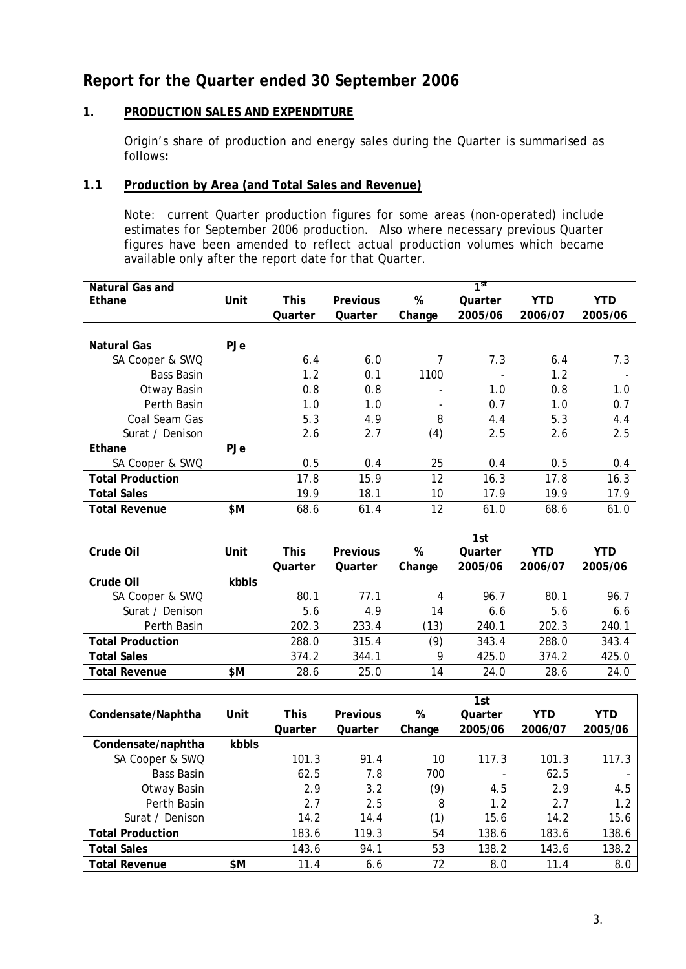# **Report for the Quarter ended 30 September 2006**

# **1. PRODUCTION SALES AND EXPENDITURE**

Origin's share of production and energy sales during the Quarter is summarised as follows**:** 

# **1.1 Production by Area (and Total Sales and Revenue)**

Note: current Quarter production figures for some areas (non-operated) include estimates for September 2006 production. Also where necessary previous Quarter figures have been amended to reflect actual production volumes which became available only after the report date for that Quarter.

| Natural Gas and         |            |             |                 |        | $\overline{1}$ st |            |         |
|-------------------------|------------|-------------|-----------------|--------|-------------------|------------|---------|
| Ethane                  | Unit       | <b>This</b> | <b>Previous</b> | %      | Quarter           | <b>YTD</b> | YTD     |
|                         |            | Quarter     | Quarter         | Change | 2005/06           | 2006/07    | 2005/06 |
|                         |            |             |                 |        |                   |            |         |
| <b>Natural Gas</b>      | PJe        |             |                 |        |                   |            |         |
| SA Cooper & SWQ         |            | 6.4         | 6.0             | 7      | 7.3               | 6.4        | 7.3     |
| <b>Bass Basin</b>       |            | 1.2         | 0.1             | 1100   |                   | 1.2        |         |
| Otway Basin             |            | 0.8         | 0.8             | ۰      | 1.0               | 0.8        | 1.0     |
| Perth Basin             |            | 1.0         | 1.0             |        | 0.7               | 1.0        | 0.7     |
| Coal Seam Gas           |            | 5.3         | 4.9             | 8      | 4.4               | 5.3        | 4.4     |
| Surat / Denison         |            | 2.6         | 2.7             | (4)    | 2.5               | 2.6        | 2.5     |
| Ethane                  | <b>PJe</b> |             |                 |        |                   |            |         |
| SA Cooper & SWQ         |            | 0.5         | 0.4             | 25     | 0.4               | 0.5        | 0.4     |
| <b>Total Production</b> |            | 17.8        | 15.9            | 12     | 16.3              | 17.8       | 16.3    |
| <b>Total Sales</b>      |            | 19.9        | 18.1            | 10     | 17.9              | 19.9       | 17.9    |
| <b>Total Revenue</b>    | \$Μ        | 68.6        | 61.4            | 12     | 61.0              | 68.6       | 61.0    |

|                         |       |             |                 |        | 1st     |         |         |
|-------------------------|-------|-------------|-----------------|--------|---------|---------|---------|
| Crude Oil               | Unit  | <b>This</b> | <b>Previous</b> | %      | Quarter | YTD     | YTD     |
|                         |       | Quarter     | Quarter         | Change | 2005/06 | 2006/07 | 2005/06 |
| Crude Oil               | kbbls |             |                 |        |         |         |         |
| SA Cooper & SWQ         |       | 80.1        | 77.1            | 4      | 96.7    | 80.1    | 96.7    |
| Surat / Denison         |       | 5.6         | 4.9             | 14     | 6.6     | 5.6     | 6.6     |
| Perth Basin             |       | 202.3       | 233.4           | (13)   | 240.1   | 202.3   | 240.1   |
| <b>Total Production</b> |       | 288.0       | 315.4           | (9)    | 343.4   | 288.0   | 343.4   |
| <b>Total Sales</b>      |       | 374.2       | 344.1           | 9      | 425.0   | 374.2   | 425.0   |
| <b>Total Revenue</b>    | \$Μ   | 28.6        | 25.0            | 14     | 24.0    | 28.6    | 24.0    |

|                         |       |         |                 |        | 1st     |            |            |
|-------------------------|-------|---------|-----------------|--------|---------|------------|------------|
| Condensate/Naphtha      | Unit  | This    | <b>Previous</b> | %      | Quarter | <b>YTD</b> | <b>YTD</b> |
|                         |       | Quarter | Quarter         | Change | 2005/06 | 2006/07    | 2005/06    |
| Condensate/naphtha      | kbbls |         |                 |        |         |            |            |
| SA Cooper & SWQ         |       | 101.3   | 91.4            | 10     | 117.3   | 101.3      | 117.3      |
| <b>Bass Basin</b>       |       | 62.5    | 7.8             | 700    |         | 62.5       |            |
| Otway Basin             |       | 2.9     | 3.2             | (9)    | 4.5     | 2.9        | 4.5        |
| Perth Basin             |       | 2.7     | 2.5             | 8      | 1.2     | 2.7        | 1.2        |
| Surat / Denison         |       | 14.2    | 14.4            | (1)    | 15.6    | 14.2       | 15.6       |
| <b>Total Production</b> |       | 183.6   | 119.3           | 54     | 138.6   | 183.6      | 138.6      |
| <b>Total Sales</b>      |       | 143.6   | 94.1            | 53     | 138.2   | 143.6      | 138.2      |
| <b>Total Revenue</b>    | \$Μ   | 11.4    | 6.6             | 72     | 8.0     | 11.4       | 8.0        |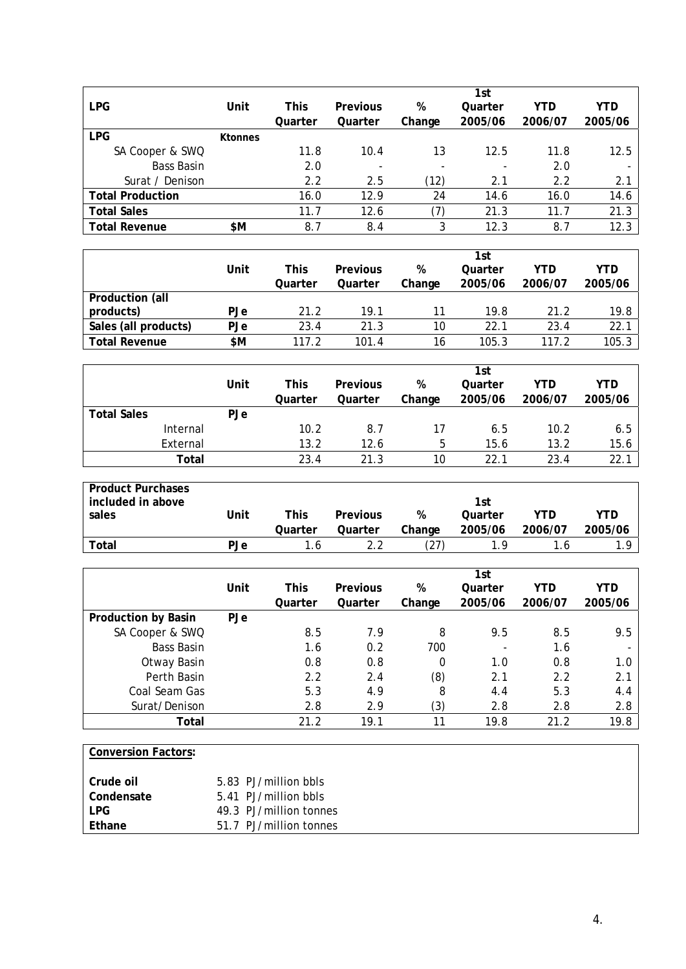|                         |                |         |          |                          | 1st     |            |            |
|-------------------------|----------------|---------|----------|--------------------------|---------|------------|------------|
| <b>LPG</b>              | Unit           | This    | Previous | %                        | Quarter | <b>YTD</b> | <b>YTD</b> |
|                         |                | Quarter | Quarter  | Change                   | 2005/06 | 2006/07    | 2005/06    |
| <b>LPG</b>              | <b>Ktonnes</b> |         |          |                          |         |            |            |
| SA Cooper & SWQ         |                | 11.8    | 10.4     | 13                       | 12.5    | 11.8       | 12.5       |
| <b>Bass Basin</b>       |                | 2.0     |          | $\overline{\phantom{0}}$ |         | 2.0        |            |
| Surat / Denison         |                | 2.2     | 2.5      | (12)                     | 2.1     | 2.2        | 2.1        |
| <b>Total Production</b> |                | 16.0    | 12.9     | 24                       | 14.6    | 16.0       | 14.6       |
| <b>Total Sales</b>      |                | 11.7    | 12.6     | 7)                       | 21.3    | 11.7       | 21.3       |
| <b>Total Revenue</b>    | \$Μ            | 8.7     | 8.4      | 3                        | 12.3    | 8.7        | 12.3       |

|                      |            |         |          |        | 1st     |         |         |
|----------------------|------------|---------|----------|--------|---------|---------|---------|
|                      | Unit       | This    | Previous | %      | Quarter | YTD     | YTD     |
|                      |            | Quarter | Quarter  | Change | 2005/06 | 2006/07 | 2005/06 |
| Production (all      |            |         |          |        |         |         |         |
| products)            | <b>PJe</b> | 21.2    | 19.1     | 11     | 19.8    | 21.2    | 19.8    |
| Sales (all products) | <b>PJe</b> | 23.4    | 21.3     | 10     | 22.1    | 23.4    | 22.1    |
| <b>Total Revenue</b> | \$M        | 117.2   | 101.4    | 16     | 105.3   | 117.2   | 105.3   |

|                    |          |         |                 |        | 1st     |         |         |
|--------------------|----------|---------|-----------------|--------|---------|---------|---------|
|                    | Unit     | This    | <b>Previous</b> | %      | Quarter | YTD     | YTD     |
|                    |          | Quarter | Quarter         | Change | 2005/06 | 2006/07 | 2005/06 |
| <b>Total Sales</b> | PJe      |         |                 |        |         |         |         |
|                    | Internal | 10.2    | 8.7             | 17     | 6.5     | 10.2    | 6.5     |
|                    | External | 13.2    | 12.6            | 5      | 15.6    | 13.2    | 15.6    |
|                    | Total    | 23.4    | 21.3            | 10     | 22.1    | 23.4    | 22.     |

| <b>Product Purchases</b> |      |             |          |        |         |         |         |
|--------------------------|------|-------------|----------|--------|---------|---------|---------|
| included in above        |      |             |          |        | 1st     |         |         |
| sales                    | Jnit | <b>This</b> | Previous | %      | Quarter | YTD     | YTD     |
|                          |      | Quarter     | Quarter  | Change | 2005/06 | 2006/07 | 2005/06 |
| Total                    | PJe  | $\cdot$ b   |          |        | 1 Q     | 1.6     | 1 O     |

|                            |            |         |                 |        | 1st     |            |         |
|----------------------------|------------|---------|-----------------|--------|---------|------------|---------|
|                            | Unit       | This    | <b>Previous</b> | %      | Quarter | <b>YTD</b> | YTD     |
|                            |            | Quarter | Quarter         | Change | 2005/06 | 2006/07    | 2005/06 |
| <b>Production by Basin</b> | <b>PJe</b> |         |                 |        |         |            |         |
| SA Cooper & SWQ            |            | 8.5     | 7.9             | 8      | 9.5     | 8.5        | 9.5     |
| <b>Bass Basin</b>          |            | 1.6     | 0.2             | 700    |         | 1.6        |         |
| Otway Basin                |            | 0.8     | 0.8             | 0      | 1.0     | 0.8        | 1.0     |
| Perth Basin                |            | 2.2     | 2.4             | (8)    | 2.1     | 2.2        | 2.1     |
| Coal Seam Gas              |            | 5.3     | 4.9             | 8      | 4.4     | 5.3        | 4.4     |
| Surat/Denison              |            | 2.8     | 2.9             | (3)    | 2.8     | 2.8        | 2.8     |
| Total                      |            | 21.2    | 19.1            | 11     | 19.8    | 21.2       | 19.8    |

| <b>Conversion Factors:</b> |  |
|----------------------------|--|
|                            |  |

| Crude oil     | 5.83 PJ/million bbls   |
|---------------|------------------------|
| Condensate    | 5.41 PJ/million bbls   |
| I PG.         | 49.3 PJ/million tonnes |
| <b>Ethane</b> | 51.7 PJ/million tonnes |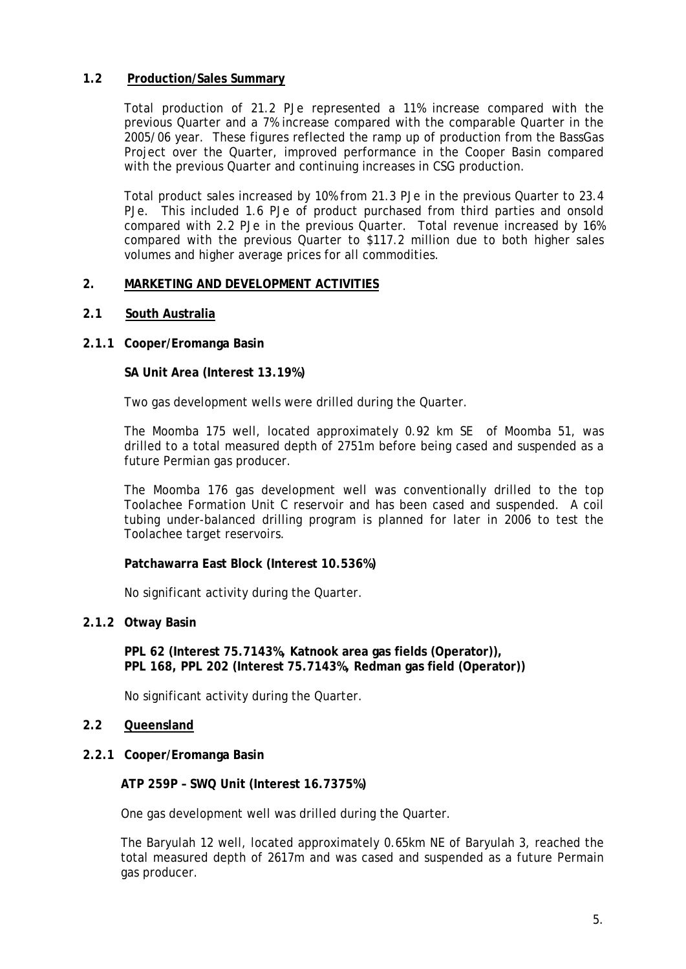# **1.2 Production/Sales Summary**

Total production of 21.2 PJe represented a 11% increase compared with the previous Quarter and a 7% increase compared with the comparable Quarter in the 2005/06 year. These figures reflected the ramp up of production from the BassGas Project over the Quarter, improved performance in the Cooper Basin compared with the previous Quarter and continuing increases in CSG production.

Total product sales increased by 10% from 21.3 PJe in the previous Quarter to 23.4 PJe. This included 1.6 PJe of product purchased from third parties and onsold compared with 2.2 PJe in the previous Quarter. Total revenue increased by 16% compared with the previous Quarter to \$117.2 million due to both higher sales volumes and higher average prices for all commodities.

## **2. MARKETING AND DEVELOPMENT ACTIVITIES**

## **2.1 South Australia**

## **2.1.1 Cooper/Eromanga Basin**

**SA Unit Area (Interest 13.19%)**

Two gas development wells were drilled during the Quarter.

The Moomba 175 well, located approximately 0.92 km SE of Moomba 51, was drilled to a total measured depth of 2751m before being cased and suspended as a future Permian gas producer.

The Moomba 176 gas development well was conventionally drilled to the top Toolachee Formation Unit C reservoir and has been cased and suspended. A coil tubing under-balanced drilling program is planned for later in 2006 to test the Toolachee target reservoirs.

# **Patchawarra East Block (Interest 10.536%)**

No significant activity during the Quarter.

#### **2.1.2 Otway Basin**

**PPL 62 (Interest 75.7143%, Katnook area gas fields (Operator)), PPL 168, PPL 202 (Interest 75.7143%, Redman gas field (Operator))** 

No significant activity during the Quarter.

# **2.2 Queensland**

**2.2.1 Cooper/Eromanga Basin**

**ATP 259P – SWQ Unit (Interest 16.7375%)** 

One gas development well was drilled during the Quarter.

The Baryulah 12 well, located approximately 0.65km NE of Baryulah 3, reached the total measured depth of 2617m and was cased and suspended as a future Permain gas producer.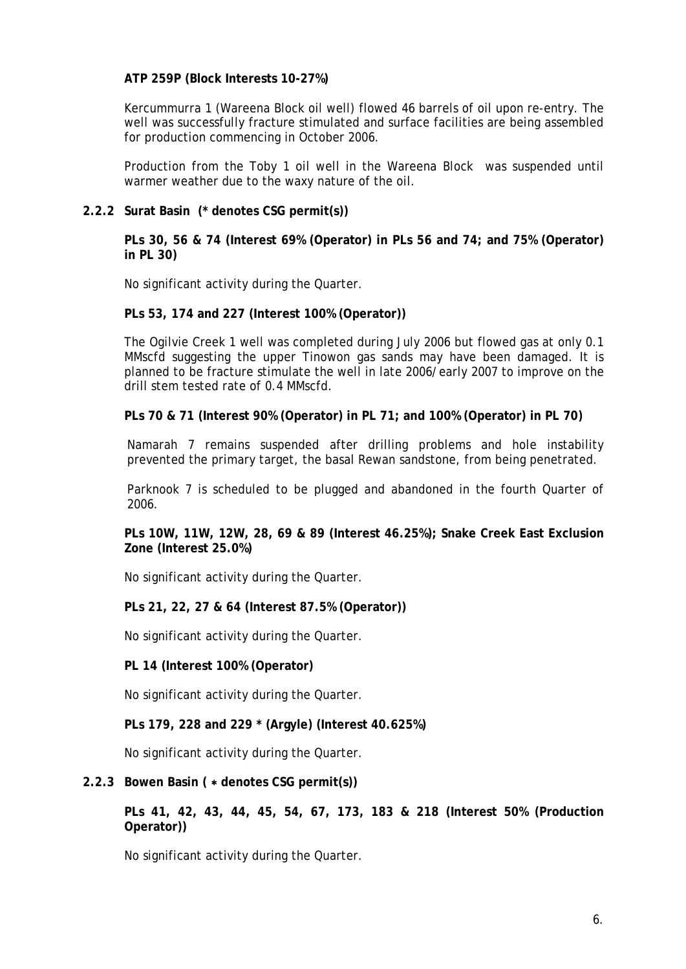## **ATP 259P (Block Interests 10-27%)**

Kercummurra 1 (Wareena Block oil well) flowed 46 barrels of oil upon re-entry. The well was successfully fracture stimulated and surface facilities are being assembled for production commencing in October 2006.

Production from the Toby 1 oil well in the Wareena Block was suspended until warmer weather due to the waxy nature of the oil.

## **2.2.2 Surat Basin (\* denotes CSG permit(s))**

**PLs 30, 56 & 74 (Interest 69% (Operator) in PLs 56 and 74; and 75% (Operator) in PL 30)** 

No significant activity during the Quarter.

#### **PLs 53, 174 and 227 (Interest 100% (Operator))**

The Ogilvie Creek 1 well was completed during July 2006 but flowed gas at only 0.1 MMscfd suggesting the upper Tinowon gas sands may have been damaged. It is planned to be fracture stimulate the well in late 2006/early 2007 to improve on the drill stem tested rate of 0.4 MMscfd.

**PLs 70 & 71 (Interest 90% (Operator) in PL 71; and 100% (Operator) in PL 70)** 

Namarah 7 remains suspended after drilling problems and hole instability prevented the primary target, the basal Rewan sandstone, from being penetrated.

Parknook 7 is scheduled to be plugged and abandoned in the fourth Quarter of 2006.

**PLs 10W, 11W, 12W, 28, 69 & 89 (Interest 46.25%); Snake Creek East Exclusion Zone (Interest 25.0%)** 

No significant activity during the Quarter.

**PLs 21, 22, 27 & 64 (Interest 87.5% (Operator))** 

No significant activity during the Quarter.

**PL 14 (Interest 100% (Operator)** 

No significant activity during the Quarter.

**PLs 179, 228 and 229 \* (Argyle) (Interest 40.625%)**

No significant activity during the Quarter.

## **2.2.3 Bowen Basin (** ∗ **denotes CSG permit(s))**

**PLs 41, 42, 43, 44, 45, 54, 67, 173, 183 & 218 (Interest 50% (Production Operator))** 

No significant activity during the Quarter.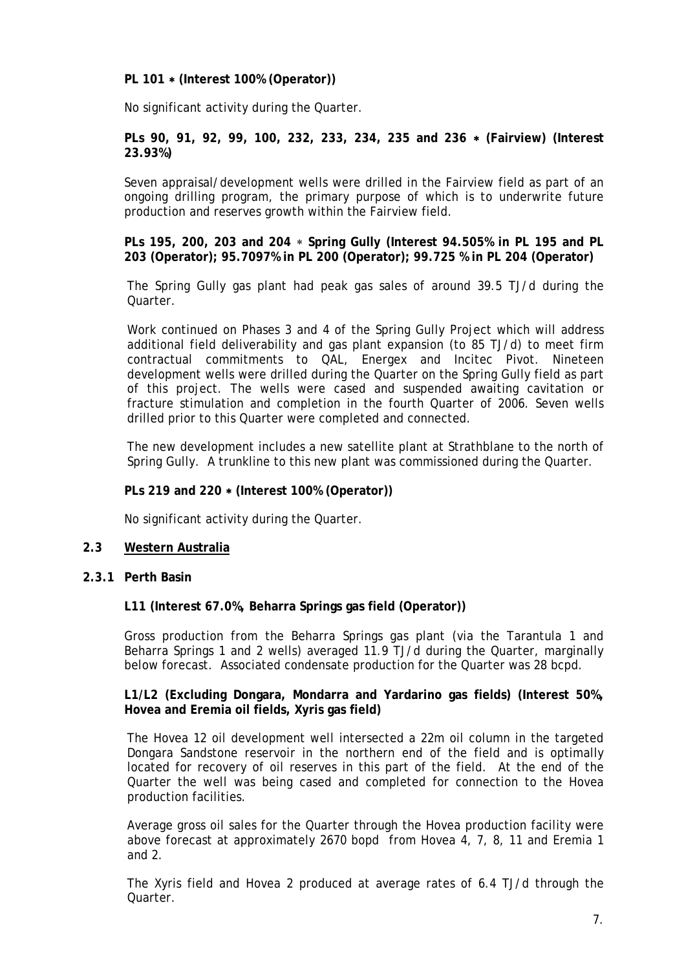**PL 101** ∗ **(Interest 100% (Operator))** 

No significant activity during the Quarter.

**PLs 90, 91, 92, 99, 100, 232, 233, 234, 235 and 236** ∗ **(Fairview) (Interest 23.93%)** 

Seven appraisal/development wells were drilled in the Fairview field as part of an ongoing drilling program, the primary purpose of which is to underwrite future production and reserves growth within the Fairview field.

**PLs 195, 200, 203 and 204** ∗ **Spring Gully (Interest 94.505% in PL 195 and PL 203 (Operator); 95.7097% in PL 200 (Operator); 99.725 % in PL 204 (Operator)** 

The Spring Gully gas plant had peak gas sales of around 39.5 TJ/d during the Quarter.

Work continued on Phases 3 and 4 of the Spring Gully Project which will address additional field deliverability and gas plant expansion (to 85 TJ/d) to meet firm contractual commitments to QAL, Energex and Incitec Pivot. Nineteen development wells were drilled during the Quarter on the Spring Gully field as part of this project. The wells were cased and suspended awaiting cavitation or fracture stimulation and completion in the fourth Quarter of 2006. Seven wells drilled prior to this Quarter were completed and connected.

The new development includes a new satellite plant at Strathblane to the north of Spring Gully. A trunkline to this new plant was commissioned during the Quarter.

#### **PLs 219 and 220** ∗ **(Interest 100% (Operator))**

No significant activity during the Quarter.

## **2.3 Western Australia**

**2.3.1 Perth Basin** 

#### **L11 (Interest 67.0%, Beharra Springs gas field (Operator))**

Gross production from the Beharra Springs gas plant (via the Tarantula 1 and Beharra Springs 1 and 2 wells) averaged 11.9 TJ/d during the Quarter, marginally below forecast. Associated condensate production for the Quarter was 28 bcpd.

## **L1/L2 (Excluding Dongara, Mondarra and Yardarino gas fields) (Interest 50%, Hovea and Eremia oil fields, Xyris gas field)**

The Hovea 12 oil development well intersected a 22m oil column in the targeted Dongara Sandstone reservoir in the northern end of the field and is optimally located for recovery of oil reserves in this part of the field. At the end of the Quarter the well was being cased and completed for connection to the Hovea production facilities.

Average gross oil sales for the Quarter through the Hovea production facility were above forecast at approximately 2670 bopd from Hovea 4, 7, 8, 11 and Eremia 1 and 2.

The Xyris field and Hovea 2 produced at average rates of 6.4 TJ/d through the Quarter.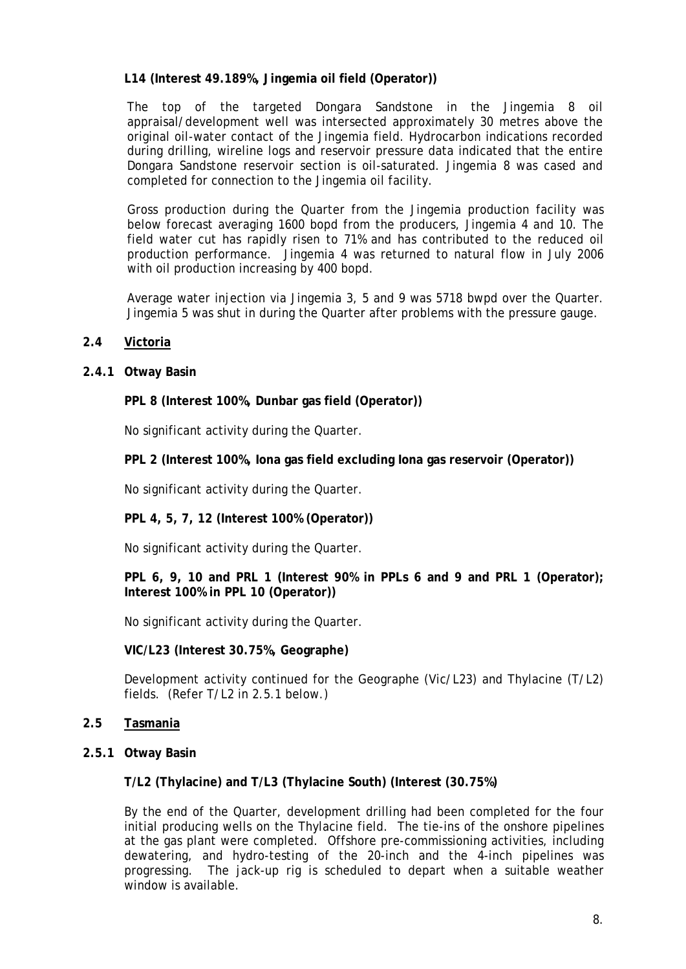# **L14 (Interest 49.189%, Jingemia oil field (Operator))**

The top of the targeted Dongara Sandstone in the Jingemia 8 oil appraisal/development well was intersected approximately 30 metres above the original oil-water contact of the Jingemia field. Hydrocarbon indications recorded during drilling, wireline logs and reservoir pressure data indicated that the entire Dongara Sandstone reservoir section is oil-saturated. Jingemia 8 was cased and completed for connection to the Jingemia oil facility.

Gross production during the Quarter from the Jingemia production facility was below forecast averaging 1600 bopd from the producers, Jingemia 4 and 10. The field water cut has rapidly risen to 71% and has contributed to the reduced oil production performance. Jingemia 4 was returned to natural flow in July 2006 with oil production increasing by 400 bopd.

Average water injection via Jingemia 3, 5 and 9 was 5718 bwpd over the Quarter. Jingemia 5 was shut in during the Quarter after problems with the pressure gauge.

# **2.4 Victoria**

# **2.4.1 Otway Basin**

**PPL 8 (Interest 100%, Dunbar gas field (Operator))**

No significant activity during the Quarter.

**PPL 2 (Interest 100%, Iona gas field excluding Iona gas reservoir (Operator))**

No significant activity during the Quarter.

**PPL 4, 5, 7, 12 (Interest 100% (Operator))** 

No significant activity during the Quarter.

**PPL 6, 9, 10 and PRL 1 (Interest 90% in PPLs 6 and 9 and PRL 1 (Operator); Interest 100% in PPL 10 (Operator))**

No significant activity during the Quarter.

**VIC/L23 (Interest 30.75%, Geographe)**

Development activity continued for the Geographe (Vic/L23) and Thylacine (T/L2) fields. (Refer T/L2 in 2.5.1 below.)

- **2.5 Tasmania**
- **2.5.1 Otway Basin**

**T/L2 (Thylacine) and T/L3 (Thylacine South) (Interest (30.75%)** 

By the end of the Quarter, development drilling had been completed for the four initial producing wells on the Thylacine field. The tie-ins of the onshore pipelines at the gas plant were completed. Offshore pre-commissioning activities, including dewatering, and hydro-testing of the 20-inch and the 4-inch pipelines was progressing. The jack-up rig is scheduled to depart when a suitable weather window is available.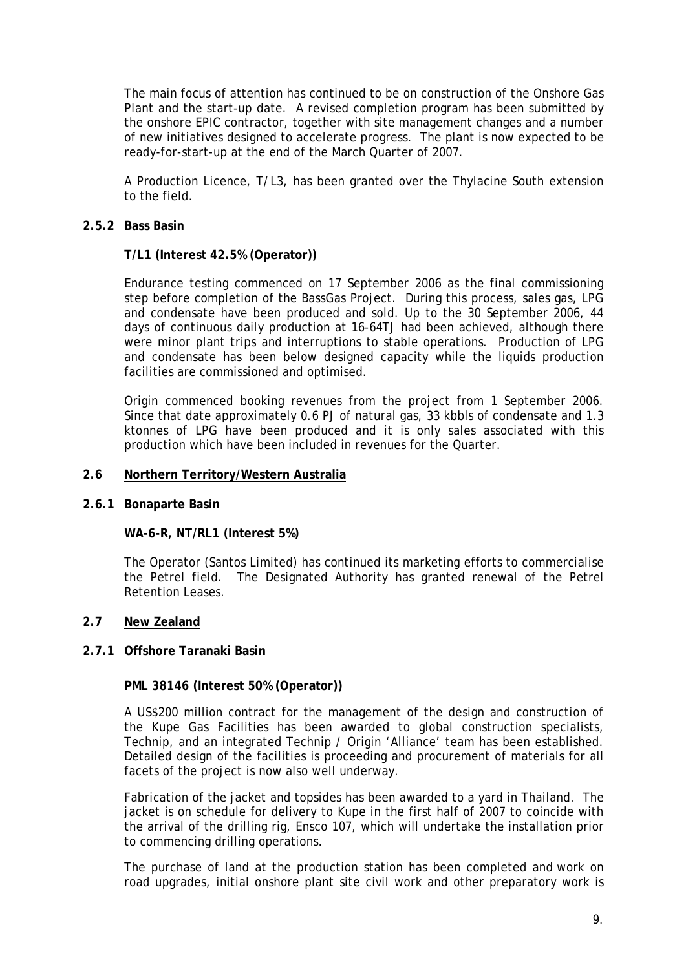The main focus of attention has continued to be on construction of the Onshore Gas Plant and the start-up date. A revised completion program has been submitted by the onshore EPIC contractor, together with site management changes and a number of new initiatives designed to accelerate progress. The plant is now expected to be ready-for-start-up at the end of the March Quarter of 2007.

A Production Licence, T/L3, has been granted over the Thylacine South extension to the field.

## **2.5.2 Bass Basin**

## **T/L1 (Interest 42.5% (Operator))**

Endurance testing commenced on 17 September 2006 as the final commissioning step before completion of the BassGas Project. During this process, sales gas, LPG and condensate have been produced and sold. Up to the 30 September 2006, 44 days of continuous daily production at 16-64TJ had been achieved, although there were minor plant trips and interruptions to stable operations. Production of LPG and condensate has been below designed capacity while the liquids production facilities are commissioned and optimised.

Origin commenced booking revenues from the project from 1 September 2006. Since that date approximately 0.6 PJ of natural gas, 33 kbbls of condensate and 1.3 ktonnes of LPG have been produced and it is only sales associated with this production which have been included in revenues for the Quarter.

## **2.6 Northern Territory/Western Australia**

#### **2.6.1 Bonaparte Basin**

#### **WA-6-R, NT/RL1 (Interest 5%)**

The Operator (Santos Limited) has continued its marketing efforts to commercialise the Petrel field. The Designated Authority has granted renewal of the Petrel Retention Leases.

#### **2.7 New Zealand**

## **2.7.1 Offshore Taranaki Basin**

#### **PML 38146 (Interest 50% (Operator))**

A US\$200 million contract for the management of the design and construction of the Kupe Gas Facilities has been awarded to global construction specialists, Technip, and an integrated Technip / Origin 'Alliance' team has been established. Detailed design of the facilities is proceeding and procurement of materials for all facets of the project is now also well underway.

Fabrication of the jacket and topsides has been awarded to a yard in Thailand. The jacket is on schedule for delivery to Kupe in the first half of 2007 to coincide with the arrival of the drilling rig, Ensco 107, which will undertake the installation prior to commencing drilling operations.

The purchase of land at the production station has been completed and work on road upgrades, initial onshore plant site civil work and other preparatory work is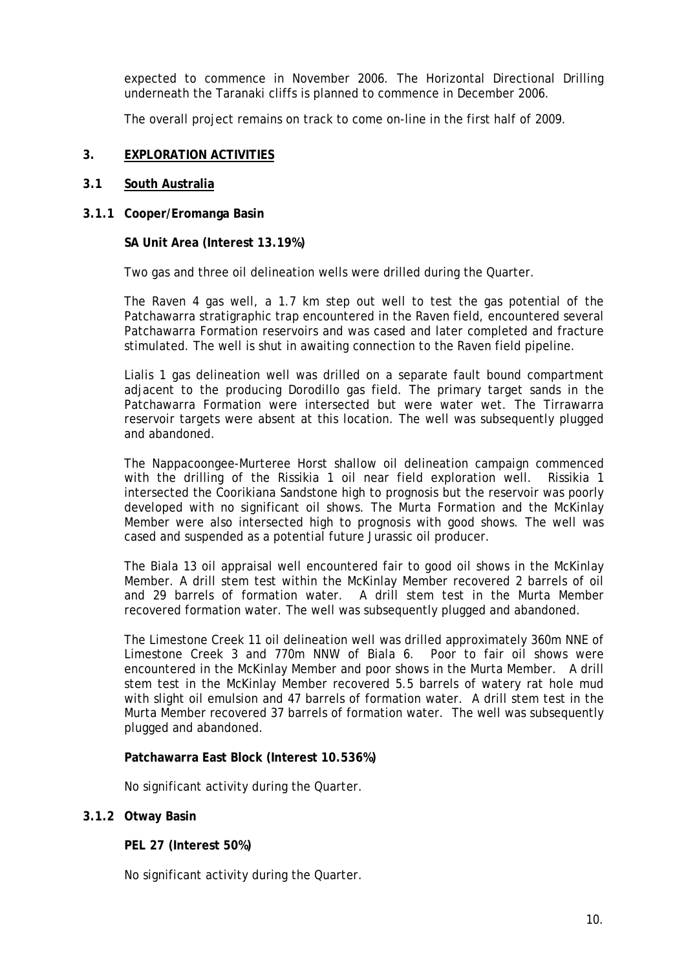expected to commence in November 2006. The Horizontal Directional Drilling underneath the Taranaki cliffs is planned to commence in December 2006.

The overall project remains on track to come on-line in the first half of 2009.

## **3. EXPLORATION ACTIVITIES**

#### **3.1 South Australia**

**3.1.1 Cooper/Eromanga Basin** 

**SA Unit Area (Interest 13.19%)** 

Two gas and three oil delineation wells were drilled during the Quarter.

The Raven 4 gas well, a 1.7 km step out well to test the gas potential of the Patchawarra stratigraphic trap encountered in the Raven field, encountered several Patchawarra Formation reservoirs and was cased and later completed and fracture stimulated. The well is shut in awaiting connection to the Raven field pipeline.

Lialis 1 gas delineation well was drilled on a separate fault bound compartment adjacent to the producing Dorodillo gas field. The primary target sands in the Patchawarra Formation were intersected but were water wet. The Tirrawarra reservoir targets were absent at this location. The well was subsequently plugged and abandoned.

The Nappacoongee-Murteree Horst shallow oil delineation campaign commenced with the drilling of the Rissikia 1 oil near field exploration well. Rissikia 1 intersected the Coorikiana Sandstone high to prognosis but the reservoir was poorly developed with no significant oil shows. The Murta Formation and the McKinlay Member were also intersected high to prognosis with good shows. The well was cased and suspended as a potential future Jurassic oil producer.

The Biala 13 oil appraisal well encountered fair to good oil shows in the McKinlay Member. A drill stem test within the McKinlay Member recovered 2 barrels of oil and 29 barrels of formation water. A drill stem test in the Murta Member recovered formation water. The well was subsequently plugged and abandoned.

The Limestone Creek 11 oil delineation well was drilled approximately 360m NNE of Limestone Creek 3 and 770m NNW of Biala 6. Poor to fair oil shows were encountered in the McKinlay Member and poor shows in the Murta Member. A drill stem test in the McKinlay Member recovered 5.5 barrels of watery rat hole mud with slight oil emulsion and 47 barrels of formation water. A drill stem test in the Murta Member recovered 37 barrels of formation water. The well was subsequently plugged and abandoned.

# **Patchawarra East Block (Interest 10.536%)**

No significant activity during the Quarter.

# **3.1.2 Otway Basin**

**PEL 27 (Interest 50%)** 

No significant activity during the Quarter.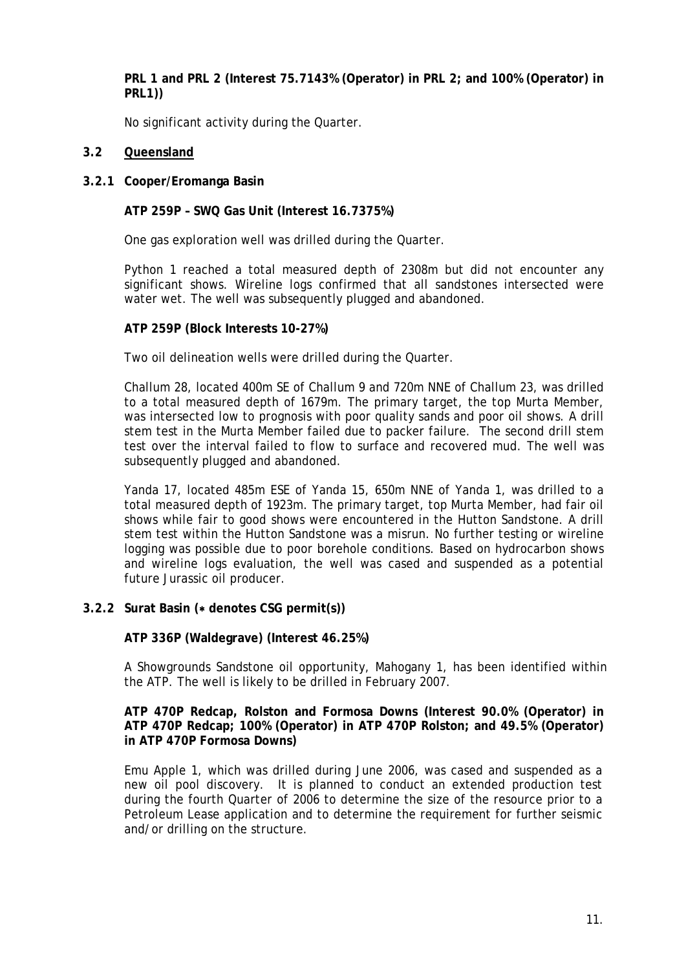**PRL 1 and PRL 2 (Interest 75.7143% (Operator) in PRL 2; and 100% (Operator) in PRL1))** 

No significant activity during the Quarter.

# **3.2 Queensland**

# **3.2.1 Cooper/Eromanga Basin**

**ATP 259P – SWQ Gas Unit (Interest 16.7375%)**

One gas exploration well was drilled during the Quarter.

Python 1 reached a total measured depth of 2308m but did not encounter any significant shows. Wireline logs confirmed that all sandstones intersected were water wet. The well was subsequently plugged and abandoned.

## **ATP 259P (Block Interests 10-27%)**

Two oil delineation wells were drilled during the Quarter.

Challum 28, located 400m SE of Challum 9 and 720m NNE of Challum 23, was drilled to a total measured depth of 1679m. The primary target, the top Murta Member, was intersected low to prognosis with poor quality sands and poor oil shows. A drill stem test in the Murta Member failed due to packer failure. The second drill stem test over the interval failed to flow to surface and recovered mud. The well was subsequently plugged and abandoned.

Yanda 17, located 485m ESE of Yanda 15, 650m NNE of Yanda 1, was drilled to a total measured depth of 1923m. The primary target, top Murta Member, had fair oil shows while fair to good shows were encountered in the Hutton Sandstone. A drill stem test within the Hutton Sandstone was a misrun. No further testing or wireline logging was possible due to poor borehole conditions. Based on hydrocarbon shows and wireline logs evaluation, the well was cased and suspended as a potential future Jurassic oil producer.

# **3.2.2 Surat Basin (**∗ **denotes CSG permit(s))**

**ATP 336P (Waldegrave) (Interest 46.25%)** 

A Showgrounds Sandstone oil opportunity, Mahogany 1, has been identified within the ATP. The well is likely to be drilled in February 2007.

**ATP 470P Redcap, Rolston and Formosa Downs (Interest 90.0% (Operator) in ATP 470P Redcap; 100% (Operator) in ATP 470P Rolston; and 49.5% (Operator) in ATP 470P Formosa Downs)** 

Emu Apple 1, which was drilled during June 2006, was cased and suspended as a new oil pool discovery. It is planned to conduct an extended production test during the fourth Quarter of 2006 to determine the size of the resource prior to a Petroleum Lease application and to determine the requirement for further seismic and/or drilling on the structure.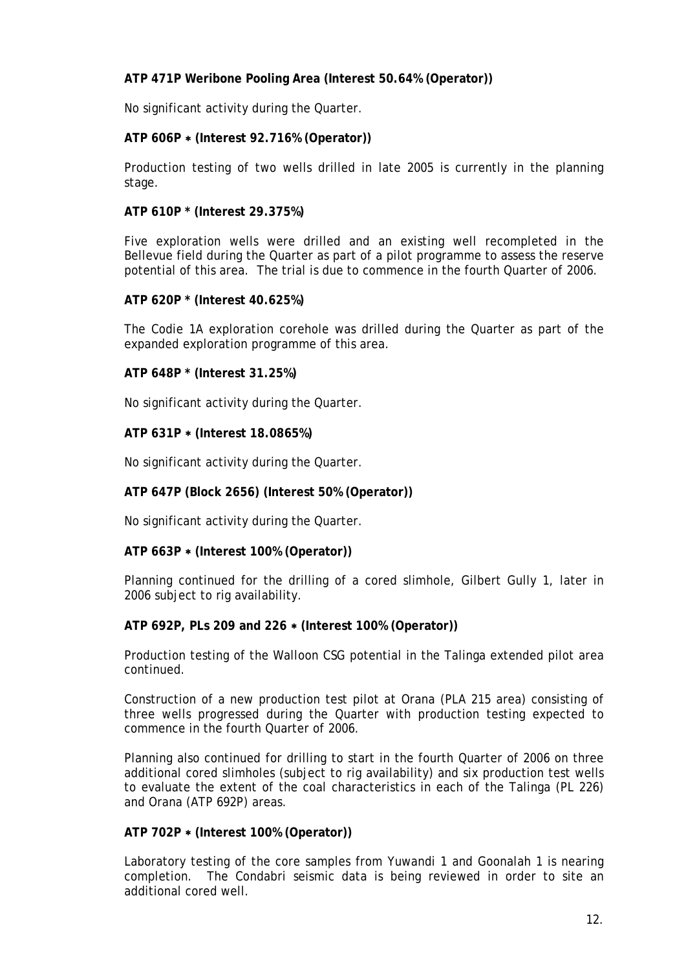# **ATP 471P Weribone Pooling Area (Interest 50.64% (Operator))**

No significant activity during the Quarter.

# **ATP 606P** ∗ **(Interest 92.716% (Operator))**

Production testing of two wells drilled in late 2005 is currently in the planning stage.

## **ATP 610P \* (Interest 29.375%)**

Five exploration wells were drilled and an existing well recompleted in the Bellevue field during the Quarter as part of a pilot programme to assess the reserve potential of this area. The trial is due to commence in the fourth Quarter of 2006.

# **ATP 620P \* (Interest 40.625%)**

The Codie 1A exploration corehole was drilled during the Quarter as part of the expanded exploration programme of this area.

# **ATP 648P \* (Interest 31.25%)**

No significant activity during the Quarter.

## **ATP 631P** ∗ **(Interest 18.0865%)**

No significant activity during the Quarter.

# **ATP 647P (Block 2656) (Interest 50% (Operator))**

No significant activity during the Quarter.

# **ATP 663P** ∗ **(Interest 100% (Operator))**

Planning continued for the drilling of a cored slimhole, Gilbert Gully 1, later in 2006 subject to rig availability.

#### **ATP 692P, PLs 209 and 226** ∗ **(Interest 100% (Operator))**

Production testing of the Walloon CSG potential in the Talinga extended pilot area continued.

Construction of a new production test pilot at Orana (PLA 215 area) consisting of three wells progressed during the Quarter with production testing expected to commence in the fourth Quarter of 2006.

Planning also continued for drilling to start in the fourth Quarter of 2006 on three additional cored slimholes (subject to rig availability) and six production test wells to evaluate the extent of the coal characteristics in each of the Talinga (PL 226) and Orana (ATP 692P) areas.

#### **ATP 702P** ∗ **(Interest 100% (Operator))**

Laboratory testing of the core samples from Yuwandi 1 and Goonalah 1 is nearing completion. The Condabri seismic data is being reviewed in order to site an additional cored well.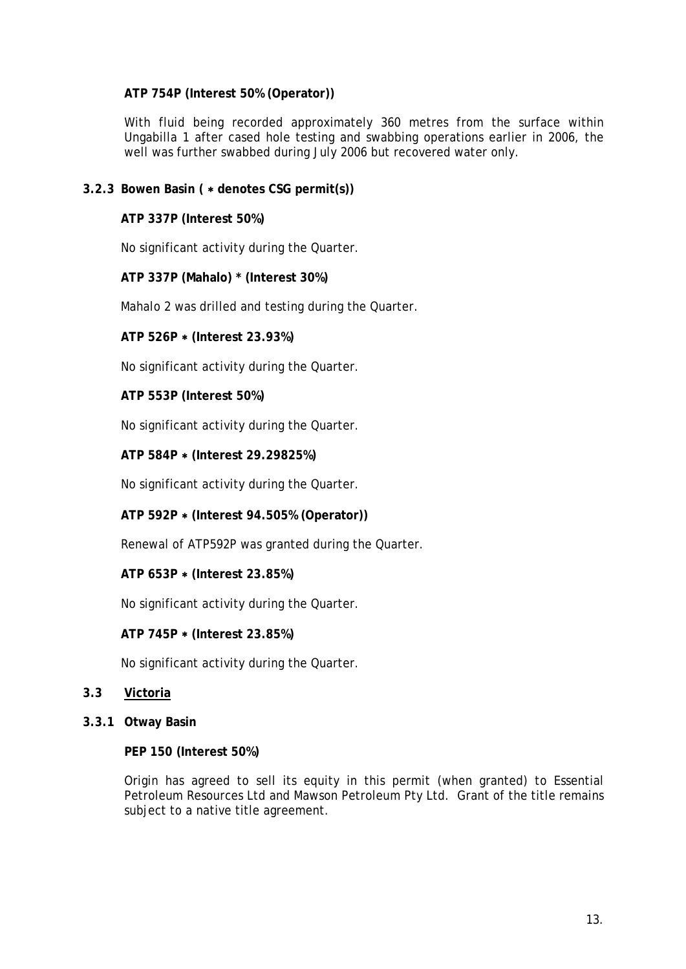# **ATP 754P (Interest 50% (Operator))**

With fluid being recorded approximately 360 metres from the surface within Ungabilla 1 after cased hole testing and swabbing operations earlier in 2006, the well was further swabbed during July 2006 but recovered water only.

# **3.2.3 Bowen Basin (** ∗ **denotes CSG permit(s))**

**ATP 337P (Interest 50%)** 

No significant activity during the Quarter.

**ATP 337P (Mahalo) \* (Interest 30%)** 

Mahalo 2 was drilled and testing during the Quarter.

**ATP 526P** ∗ **(Interest 23.93%)**

No significant activity during the Quarter.

**ATP 553P (Interest 50%)** 

No significant activity during the Quarter.

**ATP 584P** ∗ **(Interest 29.29825%)** 

No significant activity during the Quarter.

# **ATP 592P** ∗ **(Interest 94.505% (Operator))**

Renewal of ATP592P was granted during the Quarter.

# **ATP 653P** ∗ **(Interest 23.85%)**

No significant activity during the Quarter.

**ATP 745P** ∗ **(Interest 23.85%)**

No significant activity during the Quarter.

# **3.3 Victoria**

**3.3.1 Otway Basin** 

# **PEP 150 (Interest 50%)**

Origin has agreed to sell its equity in this permit (when granted) to Essential Petroleum Resources Ltd and Mawson Petroleum Pty Ltd. Grant of the title remains subject to a native title agreement.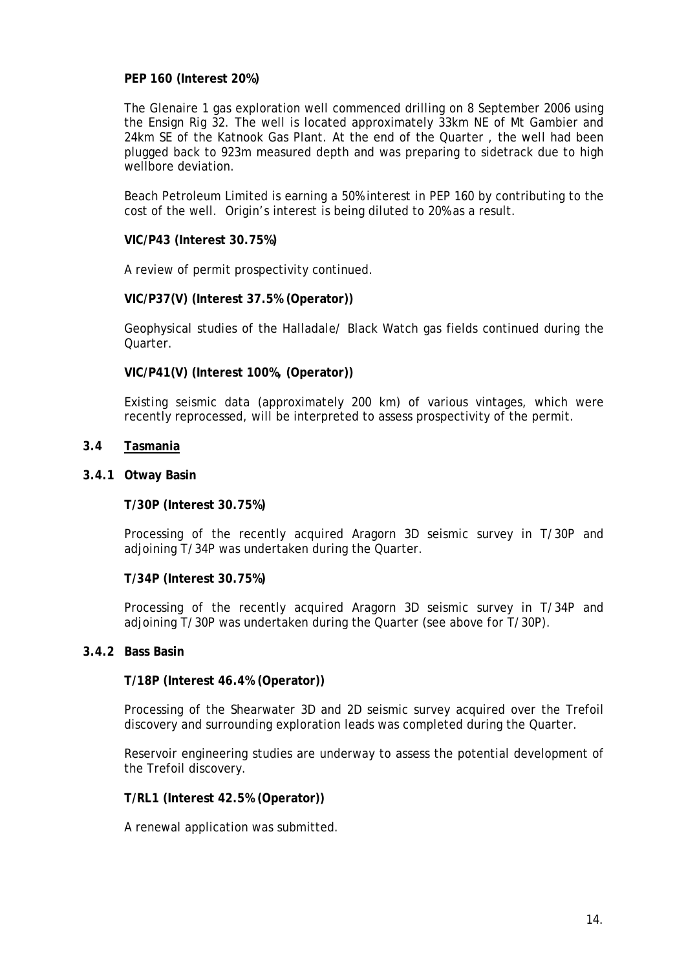## **PEP 160 (Interest 20%)**

The Glenaire 1 gas exploration well commenced drilling on 8 September 2006 using the Ensign Rig 32. The well is located approximately 33km NE of Mt Gambier and 24km SE of the Katnook Gas Plant. At the end of the Quarter , the well had been plugged back to 923m measured depth and was preparing to sidetrack due to high wellbore deviation.

Beach Petroleum Limited is earning a 50% interest in PEP 160 by contributing to the cost of the well. Origin's interest is being diluted to 20% as a result.

## **VIC/P43 (Interest 30.75%)**

A review of permit prospectivity continued.

## **VIC/P37(V) (Interest 37.5% (Operator))**

Geophysical studies of the Halladale/ Black Watch gas fields continued during the Quarter.

## **VIC/P41(V) (Interest 100%, (Operator))**

Existing seismic data (approximately 200 km) of various vintages, which were recently reprocessed, will be interpreted to assess prospectivity of the permit.

#### **3.4 Tasmania**

#### **3.4.1 Otway Basin**

**T/30P (Interest 30.75%)** 

Processing of the recently acquired Aragorn 3D seismic survey in T/30P and adjoining T/34P was undertaken during the Quarter.

#### **T/34P (Interest 30.75%)**

Processing of the recently acquired Aragorn 3D seismic survey in T/34P and adjoining T/30P was undertaken during the Quarter (see above for T/30P).

## **3.4.2 Bass Basin**

#### **T/18P (Interest 46.4% (Operator))**

Processing of the Shearwater 3D and 2D seismic survey acquired over the Trefoil discovery and surrounding exploration leads was completed during the Quarter.

Reservoir engineering studies are underway to assess the potential development of the Trefoil discovery.

#### **T/RL1 (Interest 42.5% (Operator))**

A renewal application was submitted.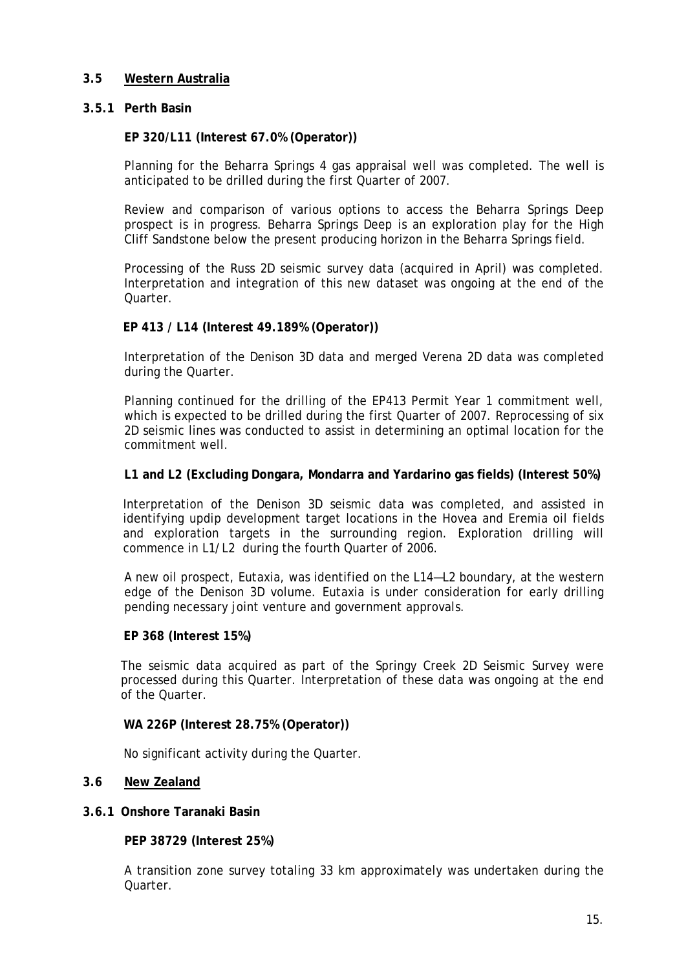# **3.5 Western Australia**

## **3.5.1 Perth Basin**

## **EP 320/L11 (Interest 67.0% (Operator))**

Planning for the Beharra Springs 4 gas appraisal well was completed. The well is anticipated to be drilled during the first Quarter of 2007.

Review and comparison of various options to access the Beharra Springs Deep prospect is in progress. Beharra Springs Deep is an exploration play for the High Cliff Sandstone below the present producing horizon in the Beharra Springs field.

Processing of the Russ 2D seismic survey data (acquired in April) was completed. Interpretation and integration of this new dataset was ongoing at the end of the Quarter.

## **EP 413 / L14 (Interest 49.189% (Operator))**

Interpretation of the Denison 3D data and merged Verena 2D data was completed during the Quarter.

Planning continued for the drilling of the EP413 Permit Year 1 commitment well, which is expected to be drilled during the first Quarter of 2007. Reprocessing of six 2D seismic lines was conducted to assist in determining an optimal location for the commitment well.

## **L1 and L2 (Excluding Dongara, Mondarra and Yardarino gas fields) (Interest 50%)**

Interpretation of the Denison 3D seismic data was completed, and assisted in identifying updip development target locations in the Hovea and Eremia oil fields and exploration targets in the surrounding region. Exploration drilling will commence in L1/L2 during the fourth Quarter of 2006.

A new oil prospect, Eutaxia, was identified on the L14—L2 boundary, at the western edge of the Denison 3D volume. Eutaxia is under consideration for early drilling pending necessary joint venture and government approvals.

#### **EP 368 (Interest 15%)**

The seismic data acquired as part of the Springy Creek 2D Seismic Survey were processed during this Quarter. Interpretation of these data was ongoing at the end of the Quarter.

#### **WA 226P (Interest 28.75% (Operator))**

No significant activity during the Quarter.

#### **3.6 New Zealand**

#### **3.6.1 Onshore Taranaki Basin**

**PEP 38729 (Interest 25%)**

A transition zone survey totaling 33 km approximately was undertaken during the Quarter.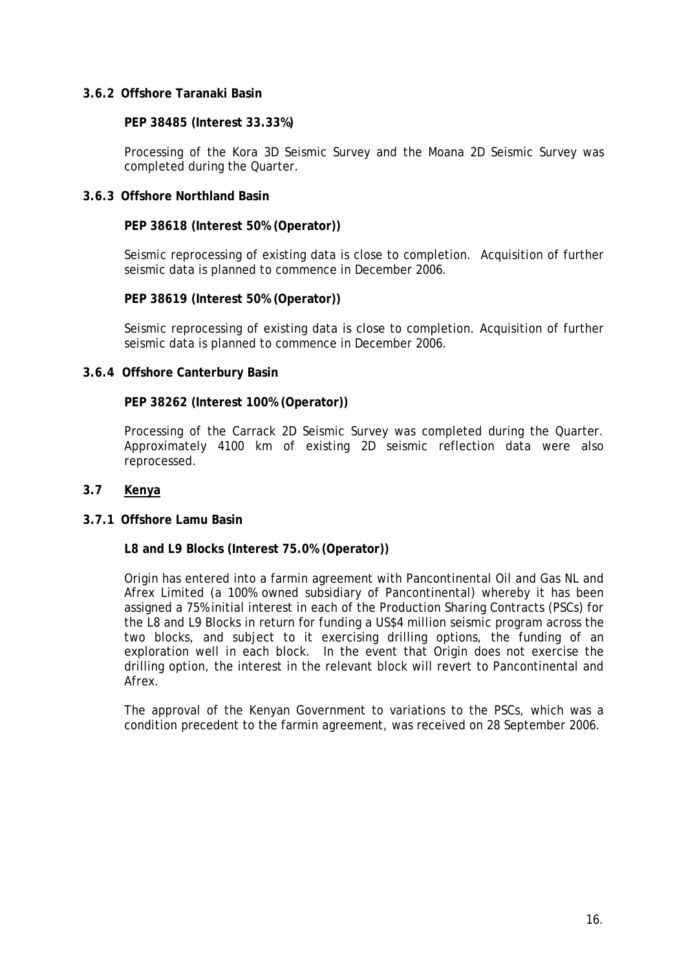## **3.6.2 Offshore Taranaki Basin**

#### **PEP 38485 (Interest 33.33%)**

Processing of the Kora 3D Seismic Survey and the Moana 2D Seismic Survey was completed during the Quarter.

# **3.6.3 Offshore Northland Basin**

## **PEP 38618 (Interest 50% (Operator))**

Seismic reprocessing of existing data is close to completion. Acquisition of further seismic data is planned to commence in December 2006.

## **PEP 38619 (Interest 50% (Operator))**

Seismic reprocessing of existing data is close to completion. Acquisition of further seismic data is planned to commence in December 2006.

# **3.6.4 Offshore Canterbury Basin**

# **PEP 38262 (Interest 100% (Operator))**

Processing of the Carrack 2D Seismic Survey was completed during the Quarter. Approximately 4100 km of existing 2D seismic reflection data were also reprocessed.

## **3.7 Kenya**

#### **3.7.1 Offshore Lamu Basin**

#### **L8 and L9 Blocks (Interest 75.0% (Operator))**

Origin has entered into a farmin agreement with Pancontinental Oil and Gas NL and Afrex Limited (a 100% owned subsidiary of Pancontinental) whereby it has been assigned a 75% initial interest in each of the Production Sharing Contracts (PSCs) for the L8 and L9 Blocks in return for funding a US\$4 million seismic program across the two blocks, and subject to it exercising drilling options, the funding of an exploration well in each block. In the event that Origin does not exercise the drilling option, the interest in the relevant block will revert to Pancontinental and Afrex.

The approval of the Kenyan Government to variations to the PSCs, which was a condition precedent to the farmin agreement, was received on 28 September 2006.